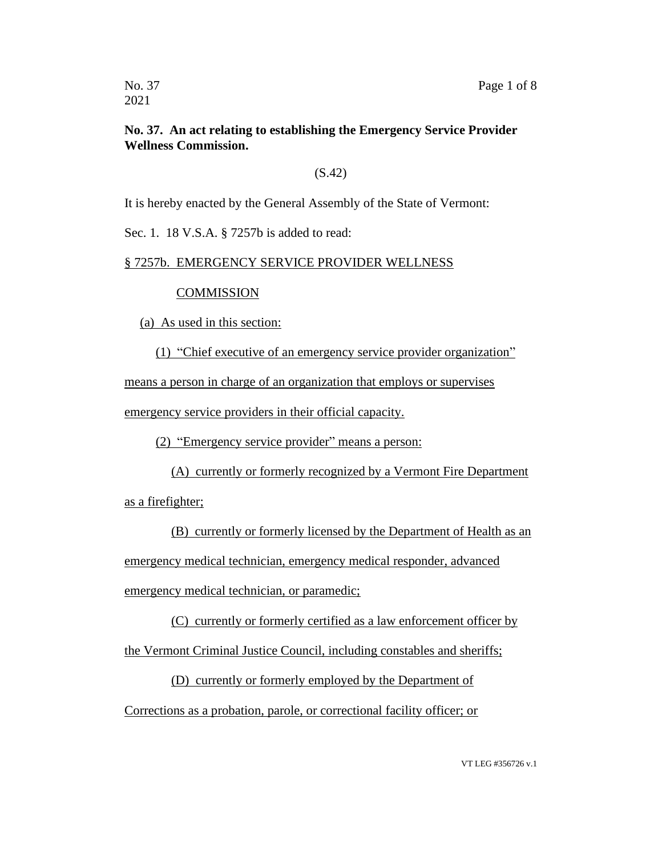## **No. 37. An act relating to establishing the Emergency Service Provider Wellness Commission.**

## (S.42)

It is hereby enacted by the General Assembly of the State of Vermont:

Sec. 1. 18 V.S.A. § 7257b is added to read:

## § 7257b. EMERGENCY SERVICE PROVIDER WELLNESS

## **COMMISSION**

(a) As used in this section:

(1) "Chief executive of an emergency service provider organization"

means a person in charge of an organization that employs or supervises

emergency service providers in their official capacity.

(2) "Emergency service provider" means a person:

(A) currently or formerly recognized by a Vermont Fire Department as a firefighter;

(B) currently or formerly licensed by the Department of Health as an emergency medical technician, emergency medical responder, advanced emergency medical technician, or paramedic;

(C) currently or formerly certified as a law enforcement officer by

the Vermont Criminal Justice Council, including constables and sheriffs;

(D) currently or formerly employed by the Department of Corrections as a probation, parole, or correctional facility officer; or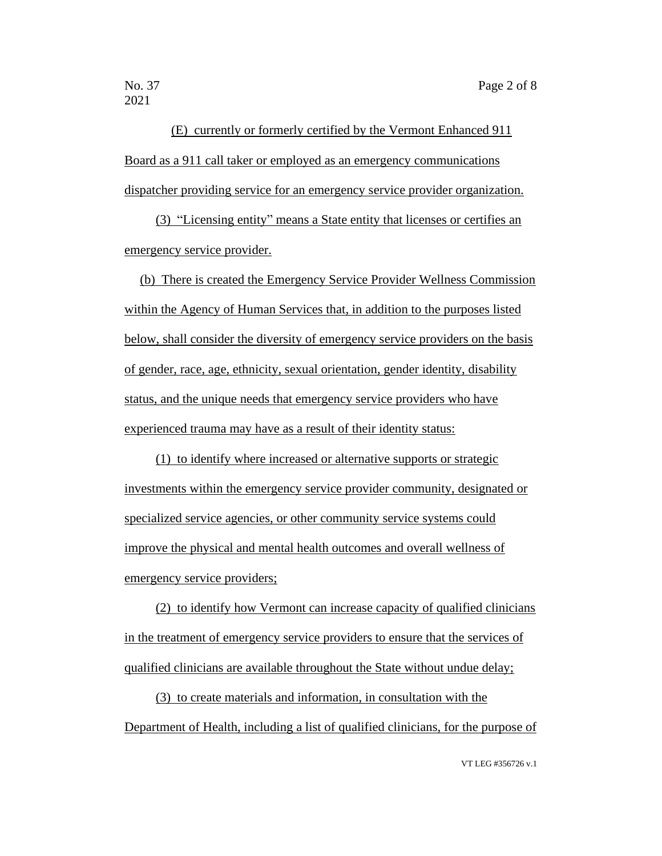2021

(E) currently or formerly certified by the Vermont Enhanced 911 Board as a 911 call taker or employed as an emergency communications dispatcher providing service for an emergency service provider organization.

(3) "Licensing entity" means a State entity that licenses or certifies an emergency service provider.

(b) There is created the Emergency Service Provider Wellness Commission within the Agency of Human Services that, in addition to the purposes listed below, shall consider the diversity of emergency service providers on the basis of gender, race, age, ethnicity, sexual orientation, gender identity, disability status, and the unique needs that emergency service providers who have experienced trauma may have as a result of their identity status:

(1) to identify where increased or alternative supports or strategic investments within the emergency service provider community, designated or specialized service agencies, or other community service systems could improve the physical and mental health outcomes and overall wellness of emergency service providers;

(2) to identify how Vermont can increase capacity of qualified clinicians in the treatment of emergency service providers to ensure that the services of qualified clinicians are available throughout the State without undue delay;

(3) to create materials and information, in consultation with the Department of Health, including a list of qualified clinicians, for the purpose of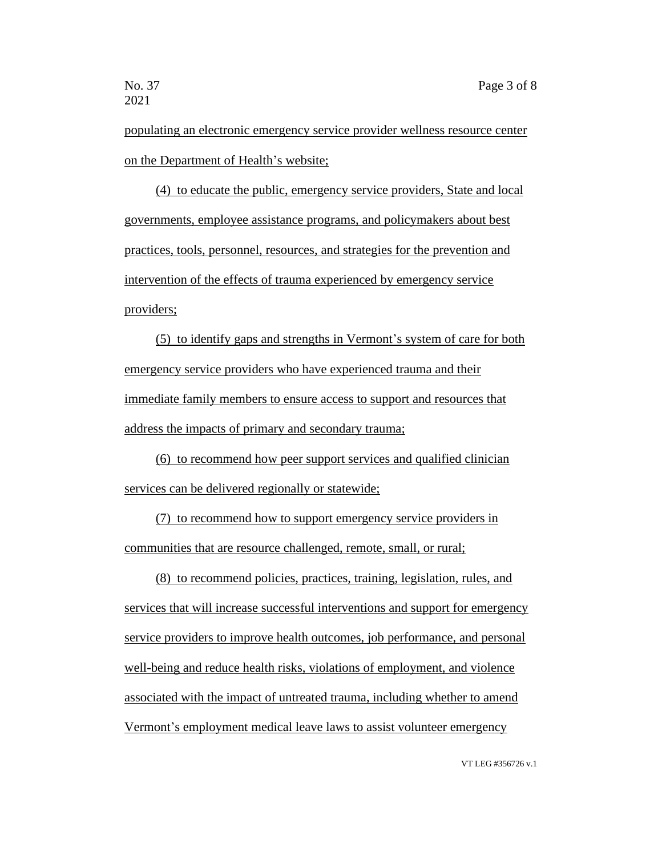populating an electronic emergency service provider wellness resource center on the Department of Health's website;

(4) to educate the public, emergency service providers, State and local governments, employee assistance programs, and policymakers about best practices, tools, personnel, resources, and strategies for the prevention and intervention of the effects of trauma experienced by emergency service providers;

(5) to identify gaps and strengths in Vermont's system of care for both emergency service providers who have experienced trauma and their immediate family members to ensure access to support and resources that address the impacts of primary and secondary trauma;

(6) to recommend how peer support services and qualified clinician services can be delivered regionally or statewide;

(7) to recommend how to support emergency service providers in communities that are resource challenged, remote, small, or rural;

(8) to recommend policies, practices, training, legislation, rules, and services that will increase successful interventions and support for emergency service providers to improve health outcomes, job performance, and personal well-being and reduce health risks, violations of employment, and violence associated with the impact of untreated trauma, including whether to amend Vermont's employment medical leave laws to assist volunteer emergency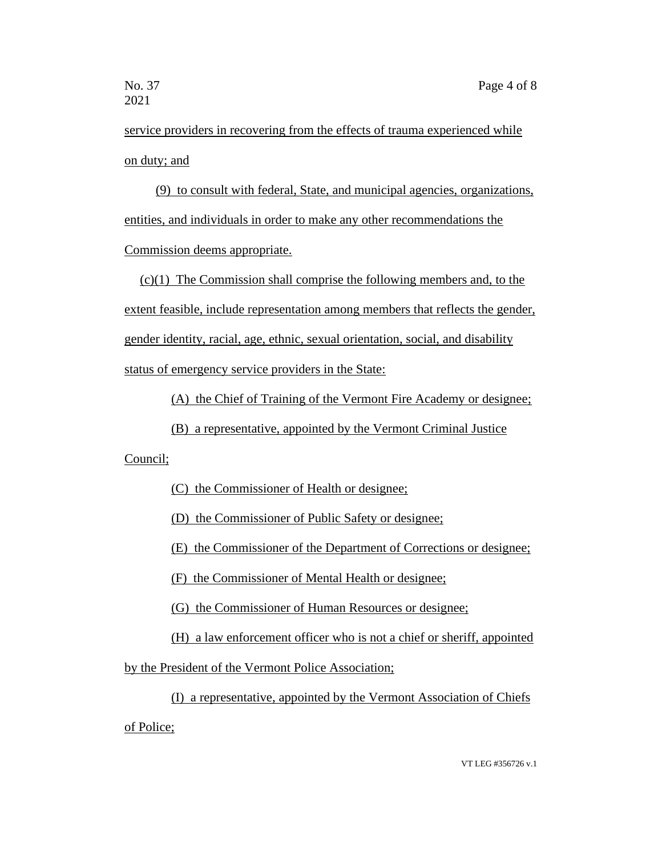service providers in recovering from the effects of trauma experienced while on duty; and

(9) to consult with federal, State, and municipal agencies, organizations, entities, and individuals in order to make any other recommendations the Commission deems appropriate.

(c)(1) The Commission shall comprise the following members and, to the extent feasible, include representation among members that reflects the gender, gender identity, racial, age, ethnic, sexual orientation, social, and disability status of emergency service providers in the State:

(A) the Chief of Training of the Vermont Fire Academy or designee;

(B) a representative, appointed by the Vermont Criminal Justice

Council;

(C) the Commissioner of Health or designee;

(D) the Commissioner of Public Safety or designee;

(E) the Commissioner of the Department of Corrections or designee;

(F) the Commissioner of Mental Health or designee;

(G) the Commissioner of Human Resources or designee;

(H) a law enforcement officer who is not a chief or sheriff, appointed

by the President of the Vermont Police Association;

(I) a representative, appointed by the Vermont Association of Chiefs of Police;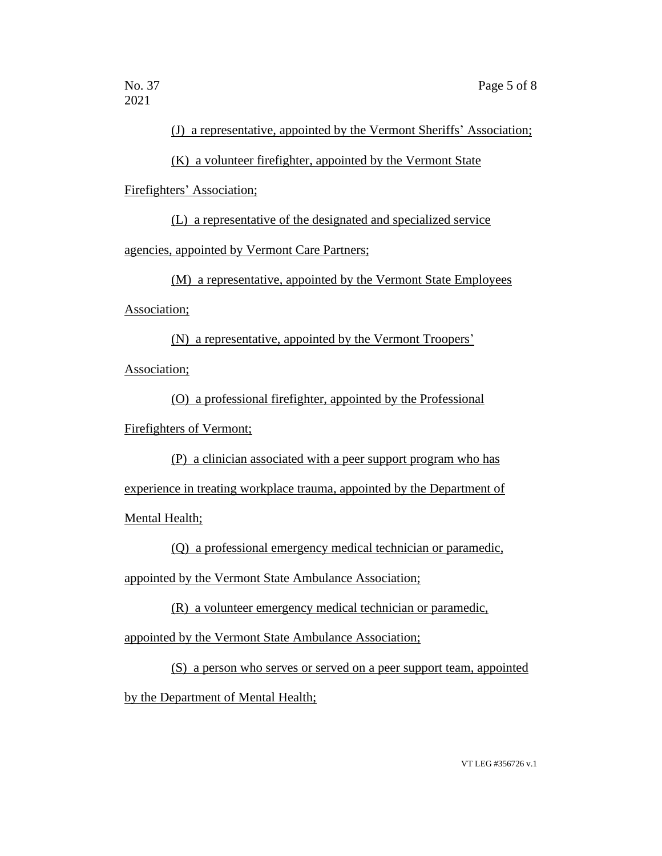2021

(J) a representative, appointed by the Vermont Sheriffs' Association;

(K) a volunteer firefighter, appointed by the Vermont State

Firefighters' Association;

(L) a representative of the designated and specialized service

agencies, appointed by Vermont Care Partners;

(M) a representative, appointed by the Vermont State Employees

Association;

(N) a representative, appointed by the Vermont Troopers'

Association;

(O) a professional firefighter, appointed by the Professional

Firefighters of Vermont;

(P) a clinician associated with a peer support program who has

experience in treating workplace trauma, appointed by the Department of

Mental Health;

(Q) a professional emergency medical technician or paramedic,

appointed by the Vermont State Ambulance Association;

(R) a volunteer emergency medical technician or paramedic,

appointed by the Vermont State Ambulance Association;

(S) a person who serves or served on a peer support team, appointed

by the Department of Mental Health;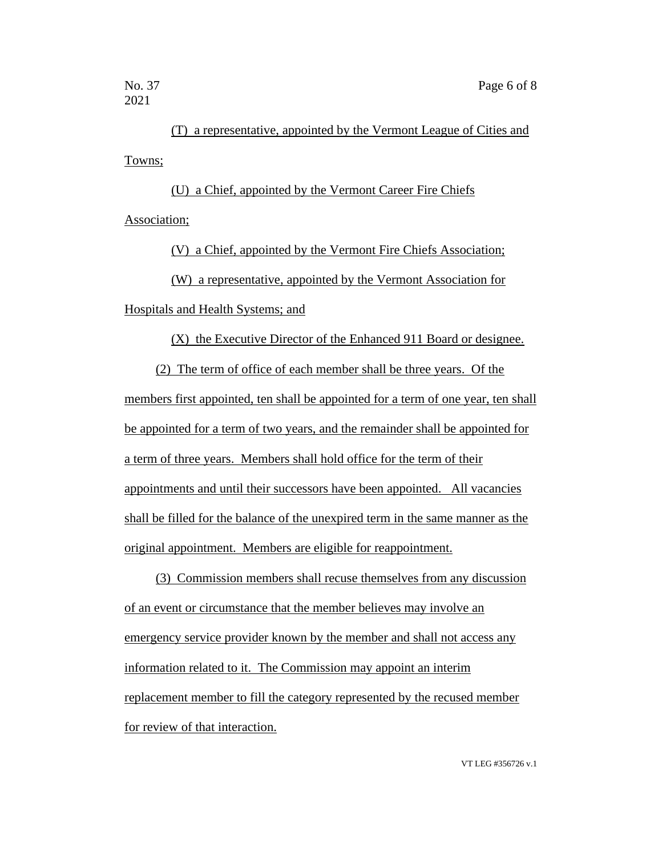(T) a representative, appointed by the Vermont League of Cities and Towns;

(U) a Chief, appointed by the Vermont Career Fire Chiefs Association;

(V) a Chief, appointed by the Vermont Fire Chiefs Association;

(W) a representative, appointed by the Vermont Association for

Hospitals and Health Systems; and

(X) the Executive Director of the Enhanced 911 Board or designee.

(2) The term of office of each member shall be three years. Of the members first appointed, ten shall be appointed for a term of one year, ten shall be appointed for a term of two years, and the remainder shall be appointed for a term of three years. Members shall hold office for the term of their appointments and until their successors have been appointed. All vacancies shall be filled for the balance of the unexpired term in the same manner as the original appointment. Members are eligible for reappointment.

(3) Commission members shall recuse themselves from any discussion of an event or circumstance that the member believes may involve an emergency service provider known by the member and shall not access any information related to it. The Commission may appoint an interim replacement member to fill the category represented by the recused member for review of that interaction.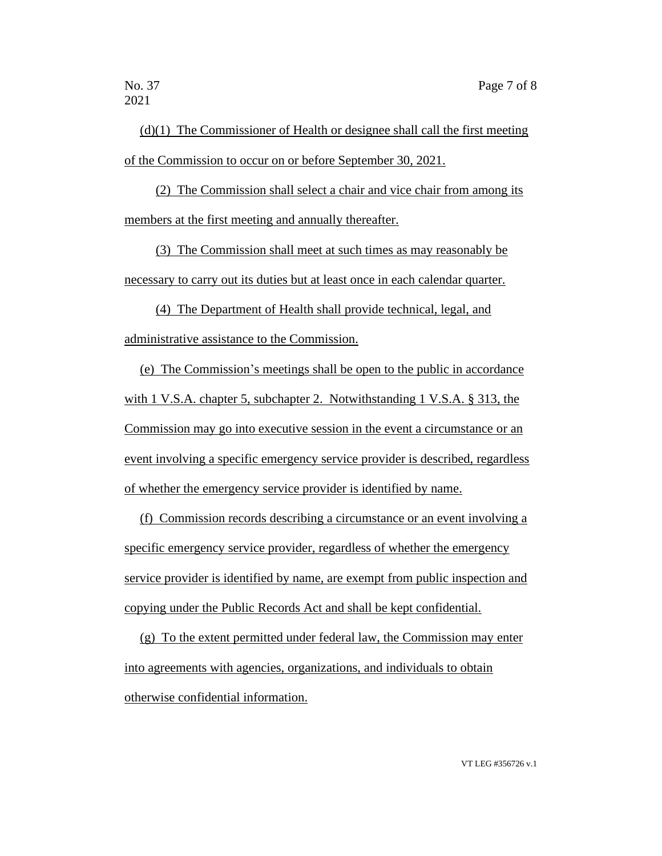(d)(1) The Commissioner of Health or designee shall call the first meeting of the Commission to occur on or before September 30, 2021.

(2) The Commission shall select a chair and vice chair from among its members at the first meeting and annually thereafter.

(3) The Commission shall meet at such times as may reasonably be necessary to carry out its duties but at least once in each calendar quarter.

(4) The Department of Health shall provide technical, legal, and administrative assistance to the Commission.

(e) The Commission's meetings shall be open to the public in accordance with 1 V.S.A. chapter 5, subchapter 2. Notwithstanding 1 V.S.A. § 313, the Commission may go into executive session in the event a circumstance or an event involving a specific emergency service provider is described, regardless of whether the emergency service provider is identified by name.

(f) Commission records describing a circumstance or an event involving a specific emergency service provider, regardless of whether the emergency service provider is identified by name, are exempt from public inspection and copying under the Public Records Act and shall be kept confidential.

(g) To the extent permitted under federal law, the Commission may enter into agreements with agencies, organizations, and individuals to obtain otherwise confidential information.